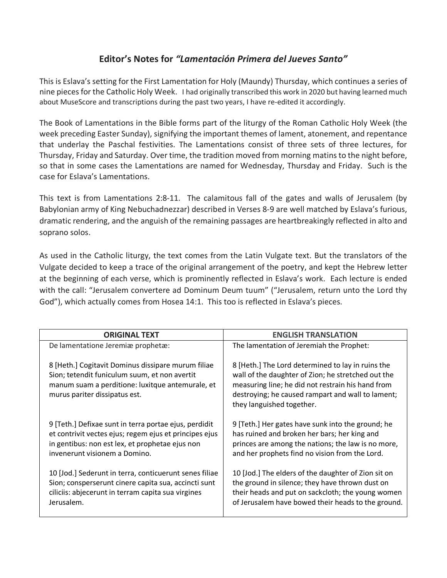## **Editor's Notes for** *"Lamentación Primera del Jueves Santo"*

This is Eslava's setting for the First Lamentation for Holy (Maundy) Thursday, which continues a series of nine piecesfor the Catholic Holy Week. I had originally transcribed this work in 2020 but having learned much about MuseScore and transcriptions during the past two years, I have re-edited it accordingly.

The Book of Lamentations in the Bible forms part of the liturgy of the Roman Catholic Holy Week (the week preceding Easter Sunday), signifying the important themes of lament, atonement, and repentance that underlay the Paschal festivities. The Lamentations consist of three sets of three lectures, for Thursday, Friday and Saturday. Over time, the tradition moved from morning matins to the night before, so that in some cases the Lamentations are named for Wednesday, Thursday and Friday. Such is the case for Eslava's Lamentations.

This text is from Lamentations 2:8-11. The calamitous fall of the gates and walls of Jerusalem (by Babylonian army of King Nebuchadnezzar) described in Verses 8-9 are well matched by Eslava's furious, dramatic rendering, and the anguish of the remaining passages are heartbreakingly reflected in alto and soprano solos.

As used in the Catholic liturgy, the text comes from the Latin Vulgate text. But the translators of the Vulgate decided to keep a trace of the original arrangement of the poetry, and kept the Hebrew letter at the beginning of each verse, which is prominently reflected in Eslava's work. Each lecture is ended with the call: "Jerusalem convertere ad Dominum Deum tuum" ("Jerusalem, return unto the Lord thy God"), which actually comes from Hosea 14:1. This too is reflected in Eslava's pieces.

| <b>ORIGINAL TEXT</b>                                                                                                                                                                                | <b>ENGLISH TRANSLATION</b>                                                                                                                                                                                                                     |
|-----------------------------------------------------------------------------------------------------------------------------------------------------------------------------------------------------|------------------------------------------------------------------------------------------------------------------------------------------------------------------------------------------------------------------------------------------------|
| De lamentatione Jeremiæ prophetæ:                                                                                                                                                                   | The lamentation of Jeremiah the Prophet:                                                                                                                                                                                                       |
| 8 [Heth.] Cogitavit Dominus dissipare murum filiae<br>Sion; tetendit funiculum suum, et non avertit<br>manum suam a perditione: luxitque antemurale, et<br>murus pariter dissipatus est.            | 8 [Heth.] The Lord determined to lay in ruins the<br>wall of the daughter of Zion; he stretched out the<br>measuring line; he did not restrain his hand from<br>destroying; he caused rampart and wall to lament;<br>they languished together. |
| 9 [Teth.] Defixae sunt in terra portae ejus, perdidit<br>et contrivit vectes ejus; regem ejus et principes ejus<br>in gentibus: non est lex, et prophetae ejus non<br>invenerunt visionem a Domino. | 9 [Teth.] Her gates have sunk into the ground; he<br>has ruined and broken her bars; her king and<br>princes are among the nations; the law is no more,<br>and her prophets find no vision from the Lord.                                      |
| 10 [Jod.] Sederunt in terra, conticuerunt senes filiae<br>Sion; consperserunt cinere capita sua, accincti sunt<br>ciliciis: abjecerunt in terram capita sua virgines<br>Jerusalem.                  | 10 [Jod.] The elders of the daughter of Zion sit on<br>the ground in silence; they have thrown dust on<br>their heads and put on sackcloth; the young women<br>of Jerusalem have bowed their heads to the ground.                              |